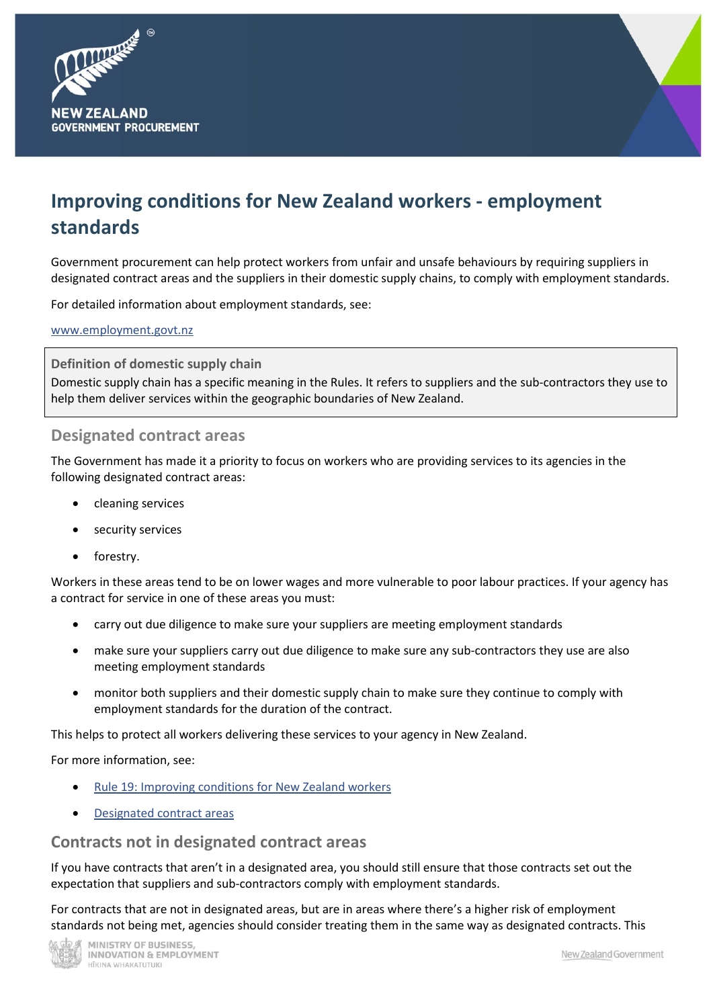



# **Improving conditions for New Zealand workers - employment standards**

Government procurement can help protect workers from unfair and unsafe behaviours by requiring suppliers in designated contract areas and the suppliers in their domestic supply chains, to comply with employment standards.

For detailed information about employment standards, see:

[www.employment.govt.nz](http://www.employment.govt.nz/)

**Definition of domestic supply chain**

Domestic supply chain has a specific meaning in the Rules. It refers to suppliers and the sub-contractors they use to help them deliver services within the geographic boundaries of New Zealand.

#### **Designated contract areas**

The Government has made it a priority to focus on workers who are providing services to its agencies in the following designated contract areas:

- cleaning services
- security services
- forestry.

Workers in these areas tend to be on lower wages and more vulnerable to poor labour practices. If your agency has a contract for service in one of these areas you must:

- carry out due diligence to make sure your suppliers are meeting employment standards
- make sure your suppliers carry out due diligence to make sure any sub-contractors they use are also meeting employment standards
- monitor both suppliers and their domestic supply chain to make sure they continue to comply with employment standards for the duration of the contract.

This helps to protect all workers delivering these services to your agency in New Zealand.

For more information, see:

- [Rule 19: Improving conditions for New Zealand workers](https://www.procurement.govt.nz/procurement/principles-and-rules/government-procurement-rules/planning-your-procurement/improving-conditions-for-new-zealand-workers/)
- [Designated contract areas](https://www.procurement.govt.nz/broader-outcomes/designated-contract-areas/)

#### **Contracts not in designated contract areas**

If you have contracts that aren't in a designated area, you should still ensure that those contracts set out the expectation that suppliers and sub-contractors comply with employment standards.

For contracts that are not in designated areas, but are in areas where there's a higher risk of employment standards not being met, agencies should consider treating them in the same way as designated contracts. This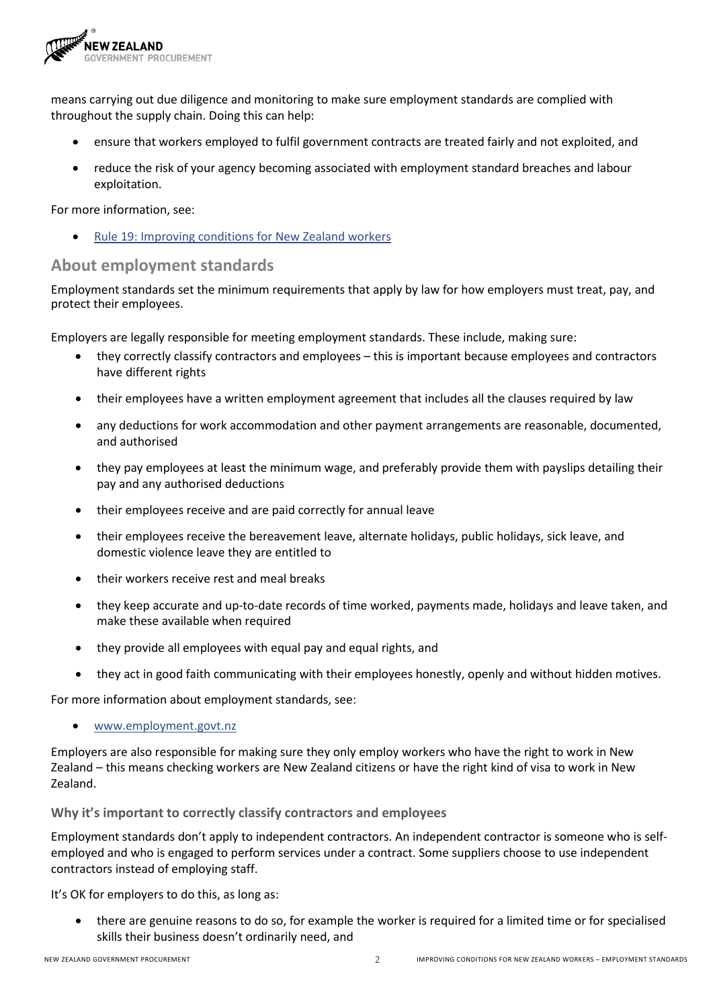

means carrying out due diligence and monitoring to make sure employment standards are complied with throughout the supply chain. Doing this can help:

- ensure that workers employed to fulfil government contracts are treated fairly and not exploited, and
- reduce the risk of your agency becoming associated with employment standard breaches and labour exploitation.

For more information, see:

• [Rule 19: Improving conditions for New Zealand workers](https://www.procurement.govt.nz/procurement/principles-and-rules/government-procurement-rules/planning-your-procurement/improving-conditions-for-new-zealand-workers/)

## **About employment standards**

Employment standards set the minimum requirements that apply by law for how employers must treat, pay, and protect their employees.

Employers are legally responsible for meeting employment standards. These include, making sure:

- they correctly classify contractors and employees this is important because employees and contractors have different rights
- their employees have a written employment agreement that includes all the clauses required by law
- any deductions for work accommodation and other payment arrangements are reasonable, documented, and authorised
- they pay employees at least the minimum wage, and preferably provide them with payslips detailing their pay and any authorised deductions
- their employees receive and are paid correctly for annual leave
- their employees receive the bereavement leave, alternate holidays, public holidays, sick leave, and domestic violence leave they are entitled to
- their workers receive rest and meal breaks
- they keep accurate and up-to-date records of time worked, payments made, holidays and leave taken, and make these available when required
- they provide all employees with equal pay and equal rights, and
- they act in good faith communicating with their employees honestly, openly and without hidden motives.

For more information about employment standards, see:

• [www.employment.govt.nz](http://www.employment.govt.nz/)

Employers are also responsible for making sure they only employ workers who have the right to work in New Zealand – this means checking workers are New Zealand citizens or have the right kind of visa to work in New Zealand.

**Why it's important to correctly classify contractors and employees**

Employment standards don't apply to independent contractors. An independent contractor is someone who is selfemployed and who is engaged to perform services under a contract. Some suppliers choose to use independent contractors instead of employing staff.

It's OK for employers to do this, as long as:

• there are genuine reasons to do so, for example the worker is required for a limited time or for specialised skills their business doesn't ordinarily need, and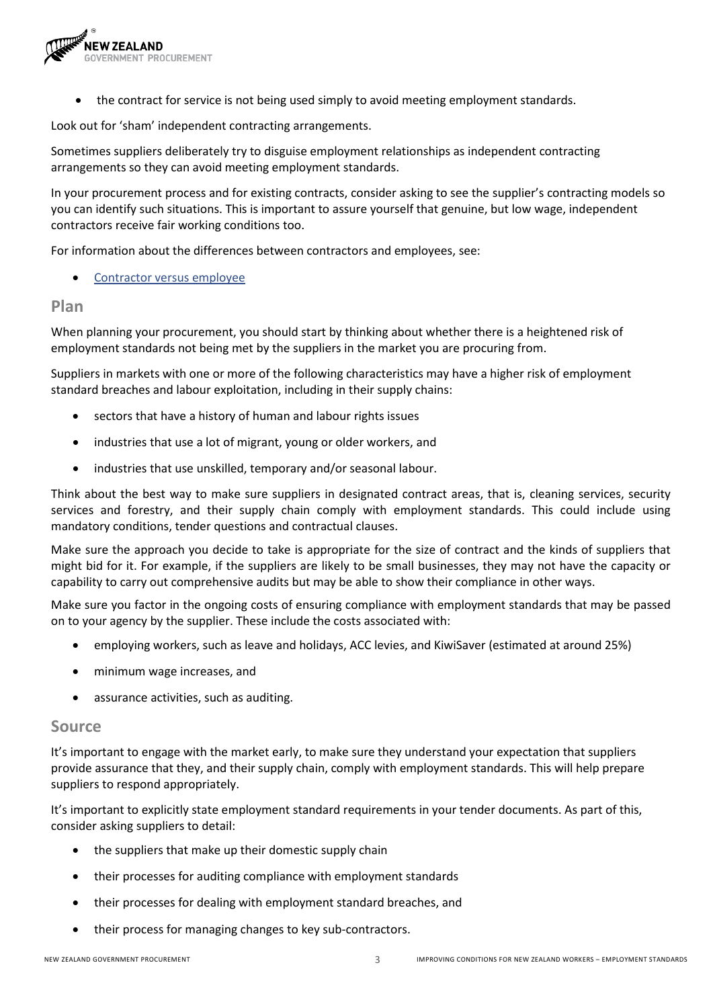

• the contract for service is not being used simply to avoid meeting employment standards.

Look out for 'sham' independent contracting arrangements.

Sometimes suppliers deliberately try to disguise employment relationships as independent contracting arrangements so they can avoid meeting employment standards.

In your procurement process and for existing contracts, consider asking to see the supplier's contracting models so you can identify such situations. This is important to assure yourself that genuine, but low wage, independent contractors receive fair working conditions too.

For information about the differences between contractors and employees, see:

[Contractor versus employee](https://www.employment.govt.nz/starting-employment/who-is-an-employee/difference-between-a-self-employed-contractor-and-an-employee/)

#### **Plan**

When planning your procurement, you should start by thinking about whether there is a heightened risk of employment standards not being met by the suppliers in the market you are procuring from.

Suppliers in markets with one or more of the following characteristics may have a higher risk of employment standard breaches and labour exploitation, including in their supply chains:

- sectors that have a history of human and labour rights issues
- industries that use a lot of migrant, young or older workers, and
- industries that use unskilled, temporary and/or seasonal labour.

Think about the best way to make sure suppliers in designated contract areas, that is, cleaning services, security services and forestry, and their supply chain comply with employment standards. This could include using mandatory conditions, tender questions and contractual clauses.

Make sure the approach you decide to take is appropriate for the size of contract and the kinds of suppliers that might bid for it. For example, if the suppliers are likely to be small businesses, they may not have the capacity or capability to carry out comprehensive audits but may be able to show their compliance in other ways.

Make sure you factor in the ongoing costs of ensuring compliance with employment standards that may be passed on to your agency by the supplier. These include the costs associated with:

- employing workers, such as leave and holidays, ACC levies, and KiwiSaver (estimated at around 25%)
- minimum wage increases, and
- assurance activities, such as auditing.

#### **Source**

It's important to engage with the market early, to make sure they understand your expectation that suppliers provide assurance that they, and their supply chain, comply with employment standards. This will help prepare suppliers to respond appropriately.

It's important to explicitly state employment standard requirements in your tender documents. As part of this, consider asking suppliers to detail:

- the suppliers that make up their domestic supply chain
- their processes for auditing compliance with employment standards
- their processes for dealing with employment standard breaches, and
- their process for managing changes to key sub-contractors.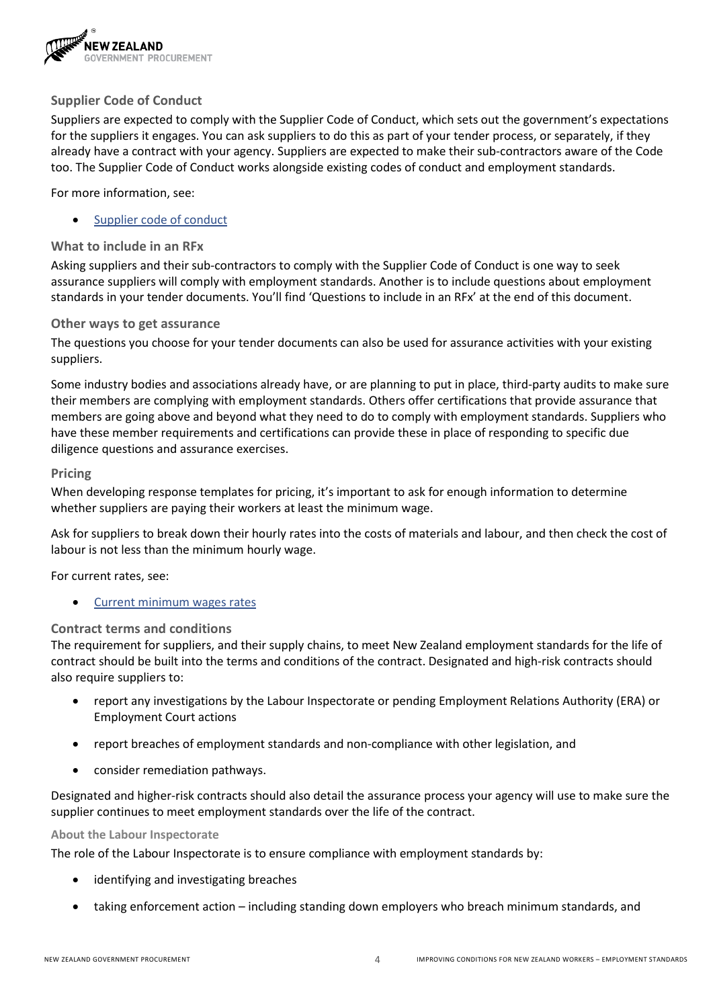

#### **Supplier Code of Conduct**

Suppliers are expected to comply with the Supplier Code of Conduct, which sets out the government's expectations for the suppliers it engages. You can ask suppliers to do this as part of your tender process, or separately, if they already have a contract with your agency. Suppliers are expected to make their sub-contractors aware of the Code too. The Supplier Code of Conduct works alongside existing codes of conduct and employment standards.

For more information, see:

[Supplier code of conduct](https://www.procurement.govt.nz/broader-outcomes/supplier-code-of-conduct/)

#### **What to include in an RFx**

Asking suppliers and their sub-contractors to comply with the Supplier Code of Conduct is one way to seek assurance suppliers will comply with employment standards. Another is to include questions about employment standards in your tender documents. You'll find 'Questions to include in an RFx' at the end of this document.

#### **Other ways to get assurance**

The questions you choose for your tender documents can also be used for assurance activities with your existing suppliers.

Some industry bodies and associations already have, or are planning to put in place, third-party audits to make sure their members are complying with employment standards. Others offer certifications that provide assurance that members are going above and beyond what they need to do to comply with employment standards. Suppliers who have these member requirements and certifications can provide these in place of responding to specific due diligence questions and assurance exercises.

#### **Pricing**

When developing response templates for pricing, it's important to ask for enough information to determine whether suppliers are paying their workers at least the minimum wage.

Ask for suppliers to break down their hourly rates into the costs of materials and labour, and then check the cost of labour is not less than the minimum hourly wage.

For current rates, see:

• [Current minimum wages rates](https://www.employment.govt.nz/hours-and-wages/pay/minimum-wage/minimum-wage-rates/)

#### **Contract terms and conditions**

The requirement for suppliers, and their supply chains, to meet New Zealand employment standards for the life of contract should be built into the terms and conditions of the contract. Designated and high-risk contracts should also require suppliers to:

- report any investigations by the Labour Inspectorate or pending Employment Relations Authority (ERA) or Employment Court actions
- report breaches of employment standards and non-compliance with other legislation, and
- consider remediation pathways.

Designated and higher-risk contracts should also detail the assurance process your agency will use to make sure the supplier continues to meet employment standards over the life of the contract.

#### **About the Labour Inspectorate**

The role of the Labour Inspectorate is to ensure compliance with employment standards by:

- identifying and investigating breaches
- taking enforcement action including standing down employers who breach minimum standards, and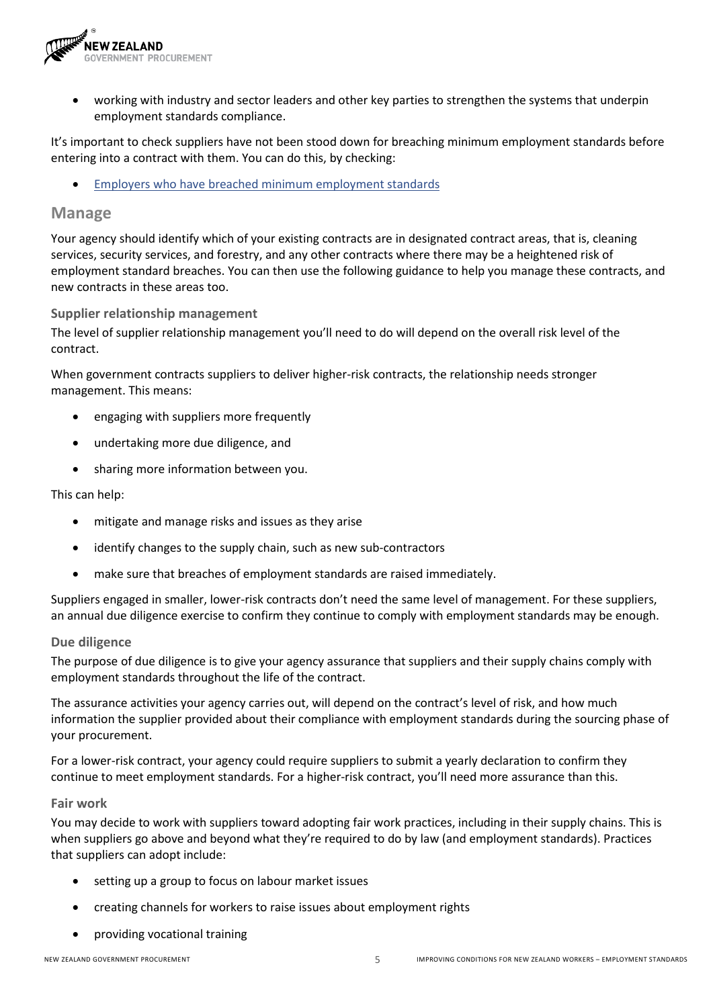

• working with industry and sector leaders and other key parties to strengthen the systems that underpin employment standards compliance.

It's important to check suppliers have not been stood down for breaching minimum employment standards before entering into a contract with them. You can do this, by checking:

• [Employers who have breached minimum](https://www.employment.govt.nz/resolving-problems/steps-to-resolve/labour-inspectorate/employers-who-have-breached-minimum-employment-standards/) employment standards

### **Manage**

Your agency should identify which of your existing contracts are in designated contract areas, that is, cleaning services, security services, and forestry, and any other contracts where there may be a heightened risk of employment standard breaches. You can then use the following guidance to help you manage these contracts, and new contracts in these areas too.

#### **Supplier relationship management**

The level of supplier relationship management you'll need to do will depend on the overall risk level of the contract.

When government contracts suppliers to deliver higher-risk contracts, the relationship needs stronger management. This means:

- engaging with suppliers more frequently
- undertaking more due diligence, and
- sharing more information between you.

This can help:

- mitigate and manage risks and issues as they arise
- identify changes to the supply chain, such as new sub-contractors
- make sure that breaches of employment standards are raised immediately.

Suppliers engaged in smaller, lower-risk contracts don't need the same level of management. For these suppliers, an annual due diligence exercise to confirm they continue to comply with employment standards may be enough.

#### **Due diligence**

The purpose of due diligence is to give your agency assurance that suppliers and their supply chains comply with employment standards throughout the life of the contract.

The assurance activities your agency carries out, will depend on the contract's level of risk, and how much information the supplier provided about their compliance with employment standards during the sourcing phase of your procurement.

For a lower-risk contract, your agency could require suppliers to submit a yearly declaration to confirm they continue to meet employment standards. For a higher-risk contract, you'll need more assurance than this.

#### **Fair work**

You may decide to work with suppliers toward adopting fair work practices, including in their supply chains. This is when suppliers go above and beyond what they're required to do by law (and employment standards). Practices that suppliers can adopt include:

- setting up a group to focus on labour market issues
- creating channels for workers to raise issues about employment rights
- providing vocational training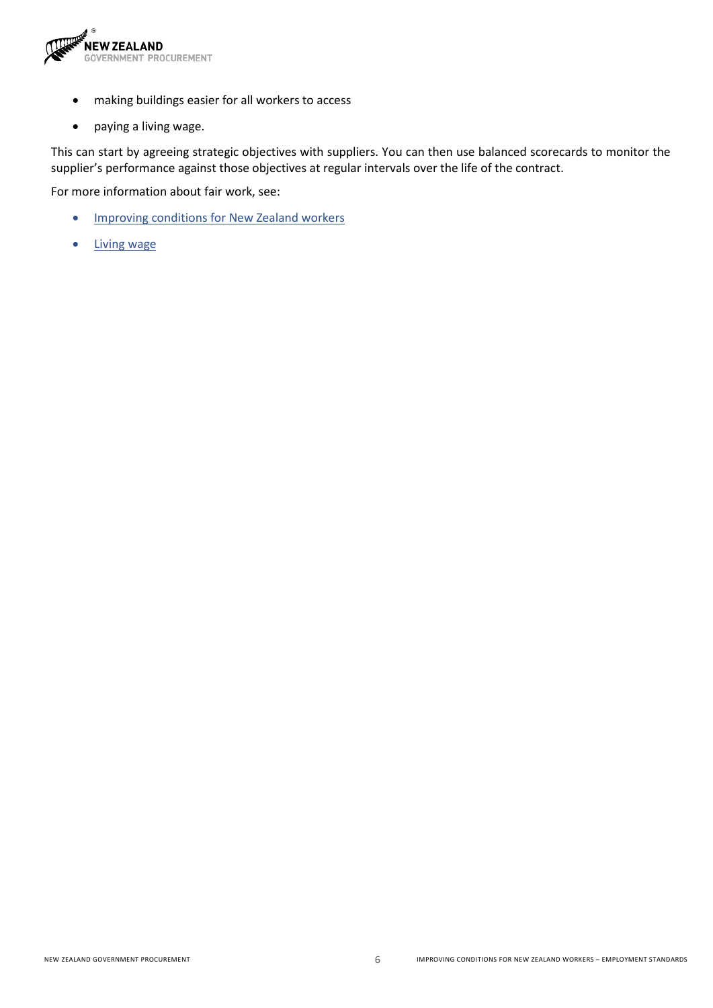

- making buildings easier for all workers to access
- paying a living wage.

This can start by agreeing strategic objectives with suppliers. You can then use balanced scorecards to monitor the supplier's performance against those objectives at regular intervals over the life of the contract.

For more information about fair work, see:

- [Improving conditions for New Zealand workers](https://www.procurement.govt.nz/broader-outcomes/improving-conditions-for-new-zealand-workers/)
- [Living wage](https://www.livingwage.org.nz/)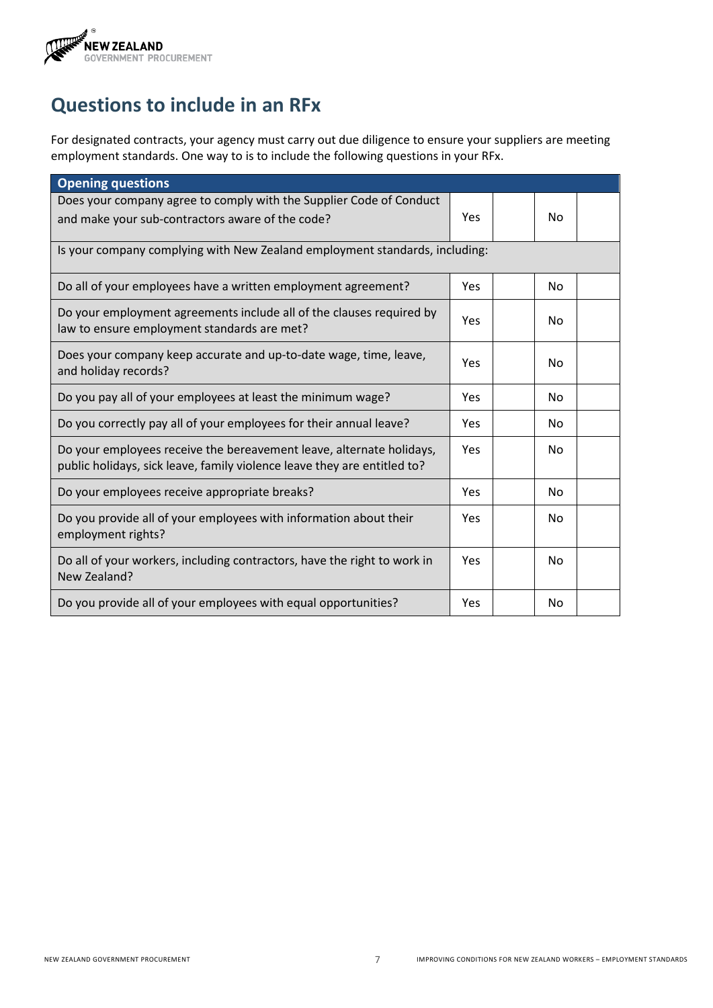

# **Questions to include in an RFx**

For designated contracts, your agency must carry out due diligence to ensure your suppliers are meeting employment standards. One way to is to include the following questions in your RFx.

| <b>Opening questions</b>                                                                                                                         |            |    |  |
|--------------------------------------------------------------------------------------------------------------------------------------------------|------------|----|--|
| Does your company agree to comply with the Supplier Code of Conduct<br>and make your sub-contractors aware of the code?                          | Yes        | No |  |
| Is your company complying with New Zealand employment standards, including:                                                                      |            |    |  |
| Do all of your employees have a written employment agreement?                                                                                    | Yes        | No |  |
| Do your employment agreements include all of the clauses required by<br>law to ensure employment standards are met?                              | Yes        | No |  |
| Does your company keep accurate and up-to-date wage, time, leave,<br>and holiday records?                                                        | Yes        | No |  |
| Do you pay all of your employees at least the minimum wage?                                                                                      | Yes        | No |  |
| Do you correctly pay all of your employees for their annual leave?                                                                               | Yes        | No |  |
| Do your employees receive the bereavement leave, alternate holidays,<br>public holidays, sick leave, family violence leave they are entitled to? | Yes        | No |  |
| Do your employees receive appropriate breaks?                                                                                                    | <b>Yes</b> | No |  |
| Do you provide all of your employees with information about their<br>employment rights?                                                          | Yes        | No |  |
| Do all of your workers, including contractors, have the right to work in<br>New Zealand?                                                         | Yes        | No |  |
| Do you provide all of your employees with equal opportunities?                                                                                   | Yes        | No |  |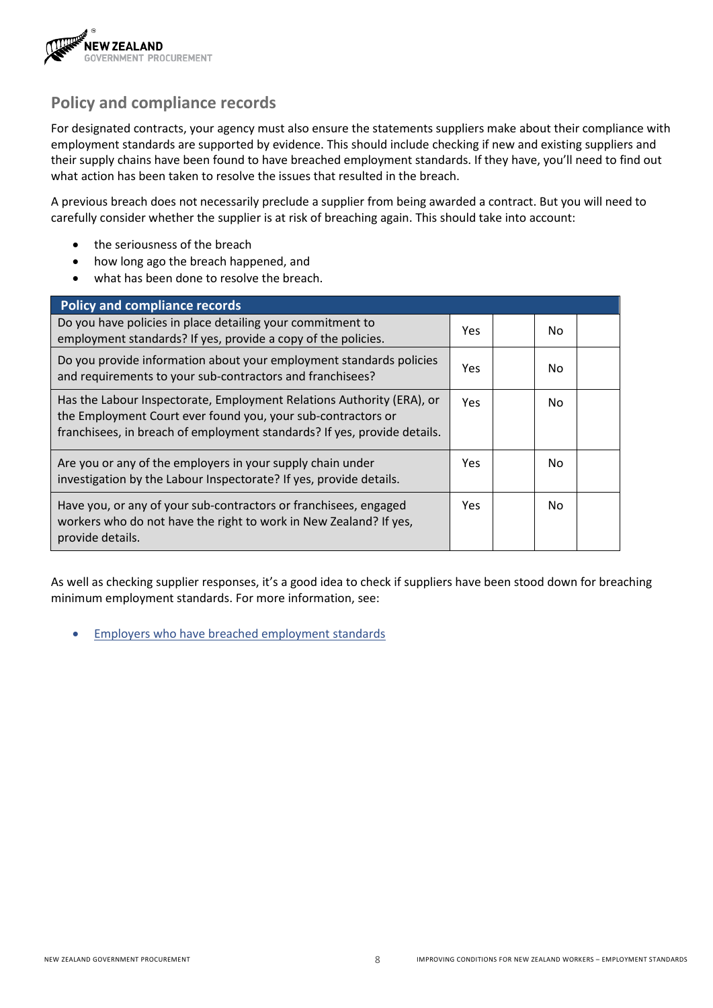

## **Policy and compliance records**

For designated contracts, your agency must also ensure the statements suppliers make about their compliance with employment standards are supported by evidence. This should include checking if new and existing suppliers and their supply chains have been found to have breached employment standards. If they have, you'll need to find out what action has been taken to resolve the issues that resulted in the breach.

A previous breach does not necessarily preclude a supplier from being awarded a contract. But you will need to carefully consider whether the supplier is at risk of breaching again. This should take into account:

- the seriousness of the breach
- how long ago the breach happened, and
- what has been done to resolve the breach.

| <b>Policy and compliance records</b>                                                                                                                                                                              |      |  |     |  |
|-------------------------------------------------------------------------------------------------------------------------------------------------------------------------------------------------------------------|------|--|-----|--|
| Do you have policies in place detailing your commitment to<br>employment standards? If yes, provide a copy of the policies.                                                                                       | Yes. |  | No. |  |
| Do you provide information about your employment standards policies<br>and requirements to your sub-contractors and franchisees?                                                                                  | Yes. |  | No. |  |
| Has the Labour Inspectorate, Employment Relations Authority (ERA), or<br>the Employment Court ever found you, your sub-contractors or<br>franchisees, in breach of employment standards? If yes, provide details. | Yes. |  | No. |  |
| Are you or any of the employers in your supply chain under<br>investigation by the Labour Inspectorate? If yes, provide details.                                                                                  | Yes. |  | No. |  |
| Have you, or any of your sub-contractors or franchisees, engaged<br>workers who do not have the right to work in New Zealand? If yes,<br>provide details.                                                         | Yes. |  | No. |  |

As well as checking supplier responses, it's a good idea to check if suppliers have been stood down for breaching minimum employment standards. For more information, see:

• [Employers who have breached employment standards](https://www.employment.govt.nz/resolving-problems/steps-to-resolve/labour-inspectorate/employers-who-have-breached-minimum-employment-standards/)